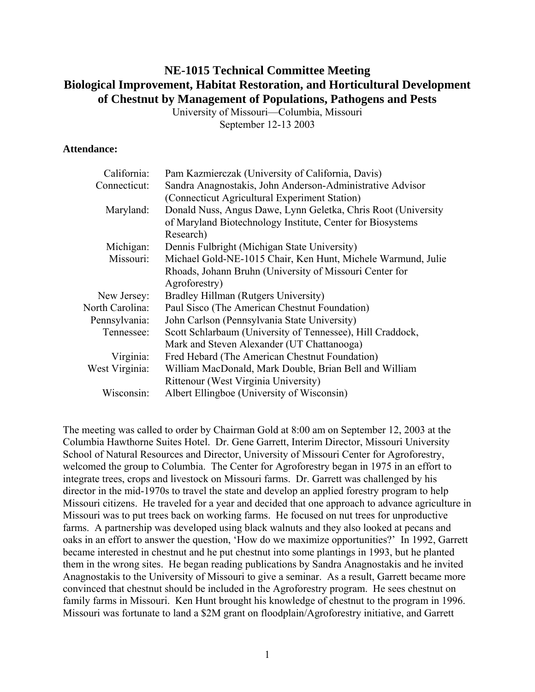# **NE-1015 Technical Committee Meeting Biological Improvement, Habitat Restoration, and Horticultural Development of Chestnut by Management of Populations, Pathogens and Pests**

University of Missouri—Columbia, Missouri September 12-13 2003

## **Attendance:**

| California:     | Pam Kazmierczak (University of California, Davis)             |
|-----------------|---------------------------------------------------------------|
| Connecticut:    | Sandra Anagnostakis, John Anderson-Administrative Advisor     |
|                 | (Connecticut Agricultural Experiment Station)                 |
| Maryland:       | Donald Nuss, Angus Dawe, Lynn Geletka, Chris Root (University |
|                 | of Maryland Biotechnology Institute, Center for Biosystems    |
|                 | Research)                                                     |
| Michigan:       | Dennis Fulbright (Michigan State University)                  |
| Missouri:       | Michael Gold-NE-1015 Chair, Ken Hunt, Michele Warmund, Julie  |
|                 | Rhoads, Johann Bruhn (University of Missouri Center for       |
|                 | Agroforestry)                                                 |
| New Jersey:     | Bradley Hillman (Rutgers University)                          |
| North Carolina: | Paul Sisco (The American Chestnut Foundation)                 |
| Pennsylvania:   | John Carlson (Pennsylvania State University)                  |
| Tennessee:      | Scott Schlarbaum (University of Tennessee), Hill Craddock,    |
|                 | Mark and Steven Alexander (UT Chattanooga)                    |
| Virginia:       | Fred Hebard (The American Chestnut Foundation)                |
| West Virginia:  | William MacDonald, Mark Double, Brian Bell and William        |
|                 | Rittenour (West Virginia University)                          |
| Wisconsin:      | Albert Ellingboe (University of Wisconsin)                    |

The meeting was called to order by Chairman Gold at 8:00 am on September 12, 2003 at the Columbia Hawthorne Suites Hotel. Dr. Gene Garrett, Interim Director, Missouri University School of Natural Resources and Director, University of Missouri Center for Agroforestry, welcomed the group to Columbia. The Center for Agroforestry began in 1975 in an effort to integrate trees, crops and livestock on Missouri farms. Dr. Garrett was challenged by his director in the mid-1970s to travel the state and develop an applied forestry program to help Missouri citizens. He traveled for a year and decided that one approach to advance agriculture in Missouri was to put trees back on working farms. He focused on nut trees for unproductive farms. A partnership was developed using black walnuts and they also looked at pecans and oaks in an effort to answer the question, 'How do we maximize opportunities?' In 1992, Garrett became interested in chestnut and he put chestnut into some plantings in 1993, but he planted them in the wrong sites. He began reading publications by Sandra Anagnostakis and he invited Anagnostakis to the University of Missouri to give a seminar. As a result, Garrett became more convinced that chestnut should be included in the Agroforestry program. He sees chestnut on family farms in Missouri. Ken Hunt brought his knowledge of chestnut to the program in 1996. Missouri was fortunate to land a \$2M grant on floodplain/Agroforestry initiative, and Garrett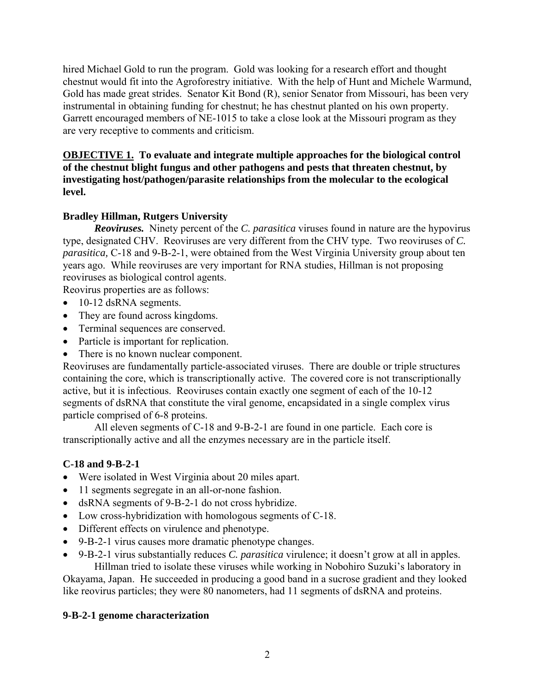hired Michael Gold to run the program. Gold was looking for a research effort and thought chestnut would fit into the Agroforestry initiative. With the help of Hunt and Michele Warmund, Gold has made great strides. Senator Kit Bond (R), senior Senator from Missouri, has been very instrumental in obtaining funding for chestnut; he has chestnut planted on his own property. Garrett encouraged members of NE-1015 to take a close look at the Missouri program as they are very receptive to comments and criticism.

## **OBJECTIVE 1. To evaluate and integrate multiple approaches for the biological control of the chestnut blight fungus and other pathogens and pests that threaten chestnut, by investigating host/pathogen/parasite relationships from the molecular to the ecological level.**

## **Bradley Hillman, Rutgers University**

*Reoviruses.* Ninety percent of the *C. parasitica* viruses found in nature are the hypovirus type, designated CHV. Reoviruses are very different from the CHV type. Two reoviruses of *C. parasitica,* C-18 and 9-B-2-1, were obtained from the West Virginia University group about ten years ago. While reoviruses are very important for RNA studies, Hillman is not proposing reoviruses as biological control agents.

Reovirus properties are as follows:

- 10-12 dsRNA segments.
- They are found across kingdoms.
- Terminal sequences are conserved.
- Particle is important for replication.
- There is no known nuclear component.

Reoviruses are fundamentally particle-associated viruses. There are double or triple structures containing the core, which is transcriptionally active. The covered core is not transcriptionally active, but it is infectious. Reoviruses contain exactly one segment of each of the 10-12 segments of dsRNA that constitute the viral genome, encapsidated in a single complex virus particle comprised of 6-8 proteins.

 All eleven segments of C-18 and 9-B-2-1 are found in one particle. Each core is transcriptionally active and all the enzymes necessary are in the particle itself.

## **C-18 and 9-B-2-1**

- Were isolated in West Virginia about 20 miles apart.
- 11 segments segregate in an all-or-none fashion.
- dsRNA segments of 9-B-2-1 do not cross hybridize.
- Low cross-hybridization with homologous segments of C-18.
- Different effects on virulence and phenotype.
- 9-B-2-1 virus causes more dramatic phenotype changes.
- 9-B-2-1 virus substantially reduces *C. parasitica* virulence; it doesn't grow at all in apples. Hillman tried to isolate these viruses while working in Nobohiro Suzuki's laboratory in

Okayama, Japan. He succeeded in producing a good band in a sucrose gradient and they looked like reovirus particles; they were 80 nanometers, had 11 segments of dsRNA and proteins.

## **9-B-2-1 genome characterization**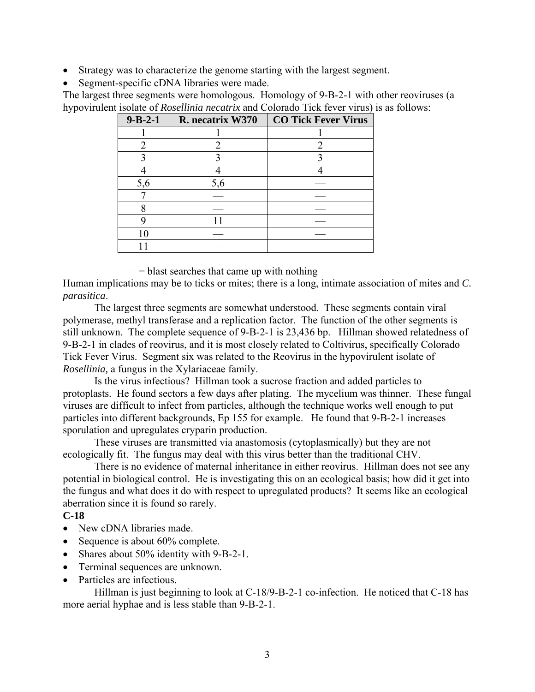- Strategy was to characterize the genome starting with the largest segment.
- Segment-specific cDNA libraries were made.

The largest three segments were homologous. Homology of 9-B-2-1 with other reoviruses (a hypovirulent isolate of *Rosellinia necatrix* and Colorado Tick fever virus) is as follows:

| $9 - B - 2 - 1$ | R. necatrix W370 | <b>CO Tick Fever Virus</b> |
|-----------------|------------------|----------------------------|
|                 |                  |                            |
|                 |                  |                            |
|                 |                  |                            |
|                 |                  |                            |
| 5,6             | 5,6              |                            |
|                 |                  |                            |
|                 |                  |                            |
|                 |                  |                            |
| 10              |                  |                            |
|                 |                  |                            |

 $\equiv$  = blast searches that came up with nothing

Human implications may be to ticks or mites; there is a long, intimate association of mites and *C. parasitica*.

 The largest three segments are somewhat understood. These segments contain viral polymerase, methyl transferase and a replication factor. The function of the other segments is still unknown. The complete sequence of 9-B-2-1 is 23,436 bp. Hillman showed relatedness of 9-B-2-1 in clades of reovirus, and it is most closely related to Coltivirus, specifically Colorado Tick Fever Virus. Segment six was related to the Reovirus in the hypovirulent isolate of *Rosellinia,* a fungus in the Xylariaceae family.

 Is the virus infectious? Hillman took a sucrose fraction and added particles to protoplasts. He found sectors a few days after plating. The mycelium was thinner. These fungal viruses are difficult to infect from particles, although the technique works well enough to put particles into different backgrounds, Ep 155 for example. He found that 9-B-2-1 increases sporulation and upregulates cryparin production.

 These viruses are transmitted via anastomosis (cytoplasmically) but they are not ecologically fit. The fungus may deal with this virus better than the traditional CHV.

 There is no evidence of maternal inheritance in either reovirus. Hillman does not see any potential in biological control. He is investigating this on an ecological basis; how did it get into the fungus and what does it do with respect to upregulated products? It seems like an ecological aberration since it is found so rarely.

## **C-18**

- New cDNA libraries made.
- Sequence is about 60% complete.
- Shares about 50% identity with 9-B-2-1.
- Terminal sequences are unknown.
- Particles are infectious.

Hillman is just beginning to look at C-18/9-B-2-1 co-infection. He noticed that C-18 has more aerial hyphae and is less stable than 9-B-2-1.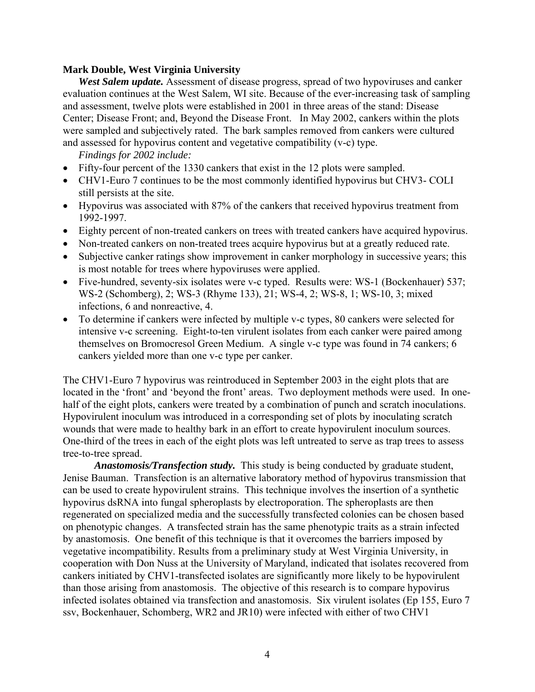#### **Mark Double, West Virginia University**

*West Salem update.* Assessment of disease progress, spread of two hypoviruses and canker evaluation continues at the West Salem, WI site. Because of the ever-increasing task of sampling and assessment, twelve plots were established in 2001 in three areas of the stand: Disease Center; Disease Front; and, Beyond the Disease Front. In May 2002, cankers within the plots were sampled and subjectively rated. The bark samples removed from cankers were cultured and assessed for hypovirus content and vegetative compatibility (v-c) type.

*Findings for 2002 include:* 

- Fifty-four percent of the 1330 cankers that exist in the 12 plots were sampled.
- CHV1-Euro 7 continues to be the most commonly identified hypovirus but CHV3- COLI still persists at the site.
- Hypovirus was associated with 87% of the cankers that received hypovirus treatment from 1992-1997.
- Eighty percent of non-treated cankers on trees with treated cankers have acquired hypovirus.
- Non-treated cankers on non-treated trees acquire hypovirus but at a greatly reduced rate.
- Subjective canker ratings show improvement in canker morphology in successive years; this is most notable for trees where hypoviruses were applied.
- Five-hundred, seventy-six isolates were v-c typed. Results were: WS-1 (Bockenhauer) 537; WS-2 (Schomberg), 2; WS-3 (Rhyme 133), 21; WS-4, 2; WS-8, 1; WS-10, 3; mixed infections, 6 and nonreactive, 4.
- To determine if cankers were infected by multiple v-c types, 80 cankers were selected for intensive v-c screening. Eight-to-ten virulent isolates from each canker were paired among themselves on Bromocresol Green Medium. A single v-c type was found in 74 cankers; 6 cankers yielded more than one v-c type per canker.

The CHV1-Euro 7 hypovirus was reintroduced in September 2003 in the eight plots that are located in the 'front' and 'beyond the front' areas. Two deployment methods were used. In onehalf of the eight plots, cankers were treated by a combination of punch and scratch inoculations. Hypovirulent inoculum was introduced in a corresponding set of plots by inoculating scratch wounds that were made to healthy bark in an effort to create hypovirulent inoculum sources. One-third of the trees in each of the eight plots was left untreated to serve as trap trees to assess tree-to-tree spread.

*Anastomosis/Transfection study.* This study is being conducted by graduate student, Jenise Bauman. Transfection is an alternative laboratory method of hypovirus transmission that can be used to create hypovirulent strains. This technique involves the insertion of a synthetic hypovirus dsRNA into fungal spheroplasts by electroporation. The spheroplasts are then regenerated on specialized media and the successfully transfected colonies can be chosen based on phenotypic changes. A transfected strain has the same phenotypic traits as a strain infected by anastomosis. One benefit of this technique is that it overcomes the barriers imposed by vegetative incompatibility. Results from a preliminary study at West Virginia University, in cooperation with Don Nuss at the University of Maryland, indicated that isolates recovered from cankers initiated by CHV1-transfected isolates are significantly more likely to be hypovirulent than those arising from anastomosis. The objective of this research is to compare hypovirus infected isolates obtained via transfection and anastomosis. Six virulent isolates (Ep 155, Euro 7 ssv, Bockenhauer, Schomberg, WR2 and JR10) were infected with either of two CHV1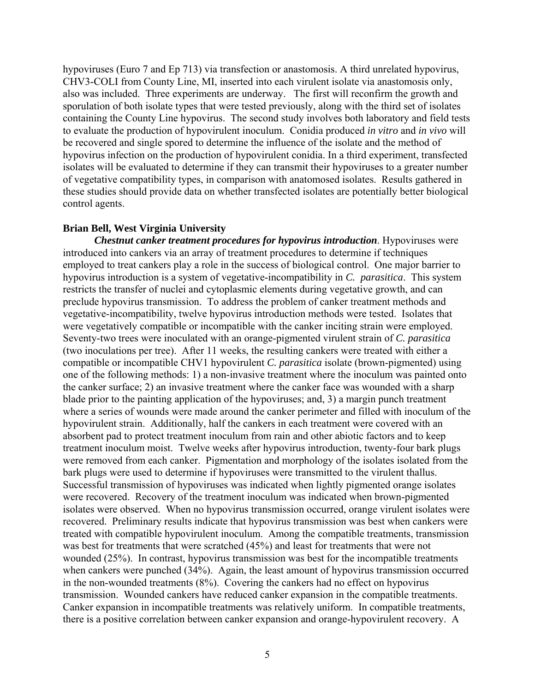hypoviruses (Euro 7 and Ep 713) via transfection or anastomosis. A third unrelated hypovirus, CHV3-COLI from County Line, MI, inserted into each virulent isolate via anastomosis only, also was included. Three experiments are underway. The first will reconfirm the growth and sporulation of both isolate types that were tested previously, along with the third set of isolates containing the County Line hypovirus. The second study involves both laboratory and field tests to evaluate the production of hypovirulent inoculum. Conidia produced *in vitro* and *in vivo* will be recovered and single spored to determine the influence of the isolate and the method of hypovirus infection on the production of hypovirulent conidia. In a third experiment, transfected isolates will be evaluated to determine if they can transmit their hypoviruses to a greater number of vegetative compatibility types, in comparison with anatomosed isolates. Results gathered in these studies should provide data on whether transfected isolates are potentially better biological control agents.

#### **Brian Bell, West Virginia University**

*Chestnut canker treatment procedures for hypovirus introduction*. Hypoviruses were introduced into cankers via an array of treatment procedures to determine if techniques employed to treat cankers play a role in the success of biological control. One major barrier to hypovirus introduction is a system of vegetative-incompatibility in *C. parasitica*. This system restricts the transfer of nuclei and cytoplasmic elements during vegetative growth, and can preclude hypovirus transmission. To address the problem of canker treatment methods and vegetative-incompatibility, twelve hypovirus introduction methods were tested. Isolates that were vegetatively compatible or incompatible with the canker inciting strain were employed. Seventy-two trees were inoculated with an orange-pigmented virulent strain of *C. parasitica* (two inoculations per tree). After 11 weeks, the resulting cankers were treated with either a compatible or incompatible CHV1 hypovirulent *C. parasitica* isolate (brown-pigmented) using one of the following methods: 1) a non-invasive treatment where the inoculum was painted onto the canker surface; 2) an invasive treatment where the canker face was wounded with a sharp blade prior to the painting application of the hypoviruses; and, 3) a margin punch treatment where a series of wounds were made around the canker perimeter and filled with inoculum of the hypovirulent strain. Additionally, half the cankers in each treatment were covered with an absorbent pad to protect treatment inoculum from rain and other abiotic factors and to keep treatment inoculum moist. Twelve weeks after hypovirus introduction, twenty-four bark plugs were removed from each canker. Pigmentation and morphology of the isolates isolated from the bark plugs were used to determine if hypoviruses were transmitted to the virulent thallus. Successful transmission of hypoviruses was indicated when lightly pigmented orange isolates were recovered. Recovery of the treatment inoculum was indicated when brown-pigmented isolates were observed. When no hypovirus transmission occurred, orange virulent isolates were recovered. Preliminary results indicate that hypovirus transmission was best when cankers were treated with compatible hypovirulent inoculum. Among the compatible treatments, transmission was best for treatments that were scratched (45%) and least for treatments that were not wounded (25%). In contrast, hypovirus transmission was best for the incompatible treatments when cankers were punched (34%). Again, the least amount of hypovirus transmission occurred in the non-wounded treatments (8%). Covering the cankers had no effect on hypovirus transmission. Wounded cankers have reduced canker expansion in the compatible treatments. Canker expansion in incompatible treatments was relatively uniform. In compatible treatments, there is a positive correlation between canker expansion and orange-hypovirulent recovery. A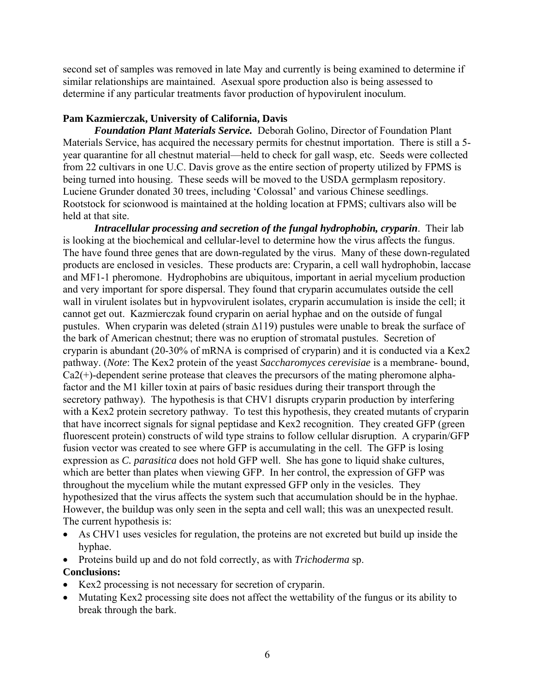second set of samples was removed in late May and currently is being examined to determine if similar relationships are maintained. Asexual spore production also is being assessed to determine if any particular treatments favor production of hypovirulent inoculum.

## **Pam Kazmierczak, University of California, Davis**

*Foundation Plant Materials Service.* Deborah Golino, Director of Foundation Plant Materials Service, has acquired the necessary permits for chestnut importation. There is still a 5 year quarantine for all chestnut material—held to check for gall wasp, etc. Seeds were collected from 22 cultivars in one U.C. Davis grove as the entire section of property utilized by FPMS is being turned into housing. These seeds will be moved to the USDA germplasm repository. Luciene Grunder donated 30 trees, including 'Colossal' and various Chinese seedlings. Rootstock for scionwood is maintained at the holding location at FPMS; cultivars also will be held at that site.

*Intracellular processing and secretion of the fungal hydrophobin, cryparin*. Their lab is looking at the biochemical and cellular-level to determine how the virus affects the fungus. The have found three genes that are down-regulated by the virus. Many of these down-regulated products are enclosed in vesicles. These products are: Cryparin, a cell wall hydrophobin, laccase and MF1-1 pheromone. Hydrophobins are ubiquitous, important in aerial mycelium production and very important for spore dispersal. They found that cryparin accumulates outside the cell wall in virulent isolates but in hypvovirulent isolates, cryparin accumulation is inside the cell; it cannot get out. Kazmierczak found cryparin on aerial hyphae and on the outside of fungal pustules. When cryparin was deleted (strain ∆119) pustules were unable to break the surface of the bark of American chestnut; there was no eruption of stromatal pustules. Secretion of cryparin is abundant (20-30% of mRNA is comprised of cryparin) and it is conducted via a Kex2 pathway. (*Note*: The Kex2 protein of the yeast *Saccharomyces cerevisiae* is a membrane- bound, Ca2(+)-dependent serine protease that cleaves the precursors of the mating pheromone alphafactor and the M1 killer toxin at pairs of basic residues during their transport through the secretory pathway). The hypothesis is that CHV1 disrupts cryparin production by interfering with a Kex2 protein secretory pathway. To test this hypothesis, they created mutants of cryparin that have incorrect signals for signal peptidase and Kex2 recognition. They created GFP (green fluorescent protein) constructs of wild type strains to follow cellular disruption. A cryparin/GFP fusion vector was created to see where GFP is accumulating in the cell. The GFP is losing expression as *C. parasitica* does not hold GFP well. She has gone to liquid shake cultures, which are better than plates when viewing GFP. In her control, the expression of GFP was throughout the mycelium while the mutant expressed GFP only in the vesicles. They hypothesized that the virus affects the system such that accumulation should be in the hyphae. However, the buildup was only seen in the septa and cell wall; this was an unexpected result. The current hypothesis is:

- As CHV1 uses vesicles for regulation, the proteins are not excreted but build up inside the hyphae.
- Proteins build up and do not fold correctly, as with *Trichoderma* sp.

## **Conclusions:**

- Kex2 processing is not necessary for secretion of cryparin.
- Mutating Kex2 processing site does not affect the wettability of the fungus or its ability to break through the bark.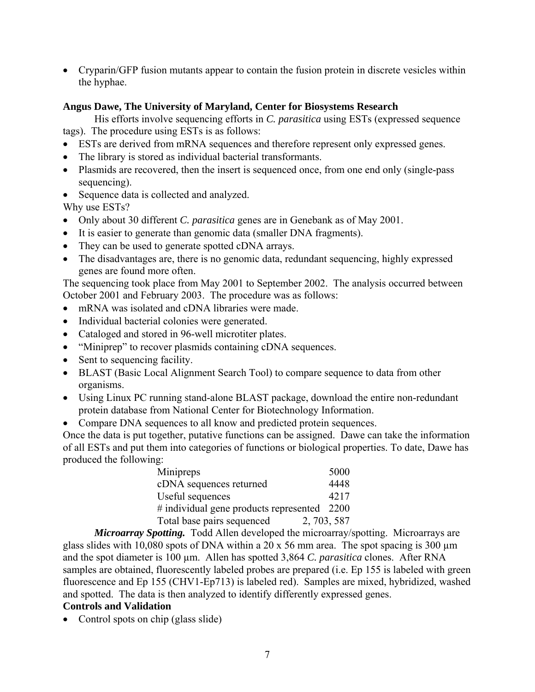• Cryparin/GFP fusion mutants appear to contain the fusion protein in discrete vesicles within the hyphae.

## **Angus Dawe, The University of Maryland, Center for Biosystems Research**

 His efforts involve sequencing efforts in *C. parasitica* using ESTs (expressed sequence tags). The procedure using ESTs is as follows:

- ESTs are derived from mRNA sequences and therefore represent only expressed genes.
- The library is stored as individual bacterial transformants.
- Plasmids are recovered, then the insert is sequenced once, from one end only (single-pass sequencing).
- Sequence data is collected and analyzed.

Why use ESTs?

- Only about 30 different *C. parasitica* genes are in Genebank as of May 2001.
- It is easier to generate than genomic data (smaller DNA fragments).
- They can be used to generate spotted cDNA arrays.
- The disadvantages are, there is no genomic data, redundant sequencing, highly expressed genes are found more often.

The sequencing took place from May 2001 to September 2002. The analysis occurred between October 2001 and February 2003. The procedure was as follows:

- mRNA was isolated and cDNA libraries were made.
- Individual bacterial colonies were generated.
- Cataloged and stored in 96-well microtiter plates.
- "Miniprep" to recover plasmids containing cDNA sequences.
- Sent to sequencing facility.
- BLAST (Basic Local Alignment Search Tool) to compare sequence to data from other organisms.
- Using Linux PC running stand-alone BLAST package, download the entire non-redundant protein database from National Center for Biotechnology Information.
- Compare DNA sequences to all know and predicted protein sequences.

Once the data is put together, putative functions can be assigned. Dawe can take the information of all ESTs and put them into categories of functions or biological properties. To date, Dawe has produced the following:

| Minipreps                                      | 5000        |
|------------------------------------------------|-------------|
| cDNA sequences returned                        | 4448        |
| Useful sequences                               | 4217        |
| $\#$ individual gene products represented 2200 |             |
| Total base pairs sequenced                     | 2, 703, 587 |

 *Microarray Spotting.* Todd Allen developed the microarray/spotting. Microarrays are glass slides with 10,080 spots of DNA within a 20 x 56 mm area. The spot spacing is 300  $\mu$ m and the spot diameter is 100  $\mu$ m. Allen has spotted 3,864 *C. parasitica* clones. After RNA samples are obtained, fluorescently labeled probes are prepared (i.e. Ep 155 is labeled with green fluorescence and Ep 155 (CHV1-Ep713) is labeled red). Samples are mixed, hybridized, washed and spotted. The data is then analyzed to identify differently expressed genes.

## **Controls and Validation**

• Control spots on chip (glass slide)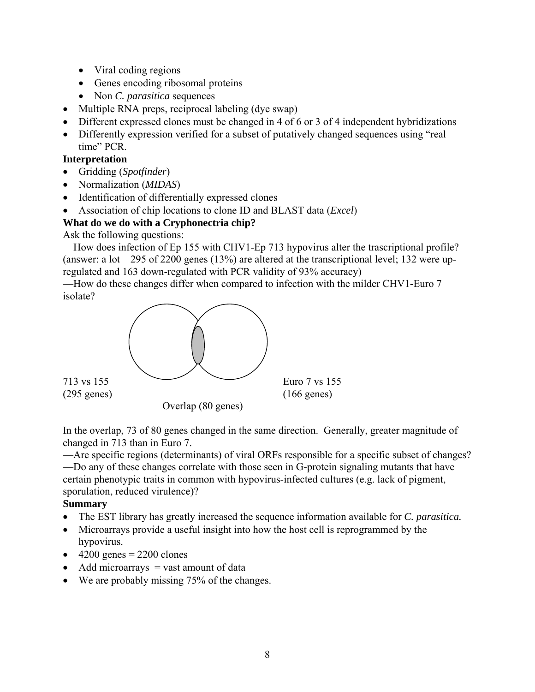- Viral coding regions
- Genes encoding ribosomal proteins
- Non *C. parasitica* sequences
- Multiple RNA preps, reciprocal labeling (dye swap)
- Different expressed clones must be changed in 4 of 6 or 3 of 4 independent hybridizations
- Differently expression verified for a subset of putatively changed sequences using "real time" PCR.

## **Interpretation**

- Gridding (*Spotfinder*)
- Normalization (*MIDAS*)
- Identification of differentially expressed clones
- Association of chip locations to clone ID and BLAST data (*Excel*)

## **What do we do with a Cryphonectria chip?**

Ask the following questions:

—How does infection of Ep 155 with CHV1-Ep 713 hypovirus alter the trascriptional profile? (answer: a lot—295 of 2200 genes (13%) are altered at the transcriptional level; 132 were upregulated and 163 down-regulated with PCR validity of 93% accuracy)

—How do these changes differ when compared to infection with the milder CHV1-Euro 7 isolate?



In the overlap, 73 of 80 genes changed in the same direction. Generally, greater magnitude of changed in 713 than in Euro 7.

—Are specific regions (determinants) of viral ORFs responsible for a specific subset of changes?

—Do any of these changes correlate with those seen in G-protein signaling mutants that have certain phenotypic traits in common with hypovirus-infected cultures (e.g. lack of pigment, sporulation, reduced virulence)?

## **Summary**

- The EST library has greatly increased the sequence information available for *C. parasitica.*
- Microarrays provide a useful insight into how the host cell is reprogrammed by the hypovirus.
- $\bullet$  4200 genes = 2200 clones
- Add microarrays  $=$  vast amount of data
- We are probably missing 75% of the changes.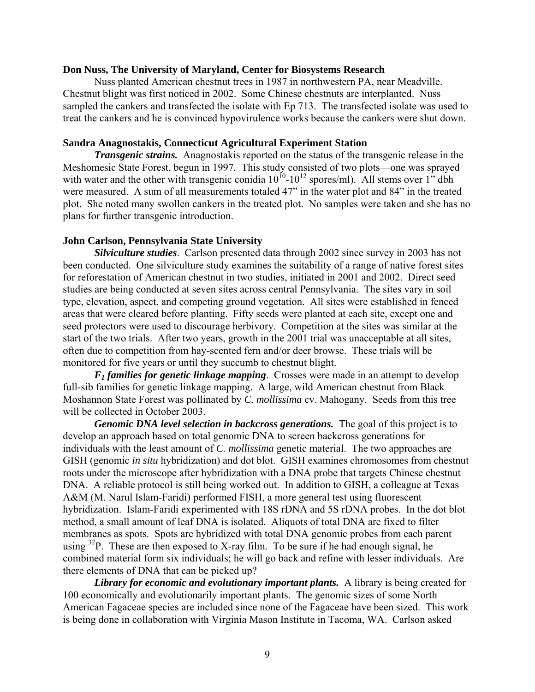#### **Don Nuss, The University of Maryland, Center for Biosystems Research**

Nuss planted American chestnut trees in 1987 in northwestern PA, near Meadville. Chestnut blight was first noticed in 2002. Some Chinese chestnuts are interplanted. Nuss sampled the cankers and transfected the isolate with Ep 713. The transfected isolate was used to treat the cankers and he is convinced hypovirulence works because the cankers were shut down.

#### **Sandra Anagnostakis, Connecticut Agricultural Experiment Station**

*Transgenic strains.* Anagnostakis reported on the status of the transgenic release in the Meshomesic State Forest, begun in 1997. This study consisted of two plots—one was sprayed with water and the other with transgenic conidia  $10^{10}$ - $10^{12}$  spores/ml). All stems over 1" dbh were measured. A sum of all measurements totaled 47" in the water plot and 84" in the treated plot. She noted many swollen cankers in the treated plot. No samples were taken and she has no plans for further transgenic introduction.

### **John Carlson, Pennsylvania State University**

*Silviculture studies*. Carlson presented data through 2002 since survey in 2003 has not been conducted. One silviculture study examines the suitability of a range of native forest sites for reforestation of American chestnut in two studies, initiated in 2001 and 2002. Direct seed studies are being conducted at seven sites across central Pennsylvania. The sites vary in soil type, elevation, aspect, and competing ground vegetation. All sites were established in fenced areas that were cleared before planting. Fifty seeds were planted at each site, except one and seed protectors were used to discourage herbivory. Competition at the sites was similar at the start of the two trials. After two years, growth in the 2001 trial was unacceptable at all sites, often due to competition from hay-scented fern and/or deer browse. These trials will be monitored for five years or until they succumb to chestnut blight.

*F1 families for genetic linkage mapping*. Crosses were made in an attempt to develop full-sib families for genetic linkage mapping. A large, wild American chestnut from Black Moshannon State Forest was pollinated by *C. mollissima* cv. Mahogany. Seeds from this tree will be collected in October 2003.

 *Genomic DNA level selection in backcross generations.* The goal of this project is to develop an approach based on total genomic DNA to screen backcross generations for individuals with the least amount of *C. mollissima* genetic material. The two approaches are GISH (genomic *in situ* hybridization) and dot blot. GISH examines chromosomes from chestnut roots under the microscope after hybridization with a DNA probe that targets Chinese chestnut DNA. A reliable protocol is still being worked out. In addition to GISH, a colleague at Texas A&M (M. Narul Islam-Faridi) performed FISH, a more general test using fluorescent hybridization. Islam-Faridi experimented with 18S rDNA and 5S rDNA probes. In the dot blot method, a small amount of leaf DNA is isolated. Aliquots of total DNA are fixed to filter membranes as spots. Spots are hybridized with total DNA genomic probes from each parent using  $32P$ . These are then exposed to X-ray film. To be sure if he had enough signal, he combined material form six individuals; he will go back and refine with lesser individuals. Are there elements of DNA that can be picked up?

*Library for economic and evolutionary important plants.* A library is being created for 100 economically and evolutionarily important plants. The genomic sizes of some North American Fagaceae species are included since none of the Fagaceae have been sized. This work is being done in collaboration with Virginia Mason Institute in Tacoma, WA. Carlson asked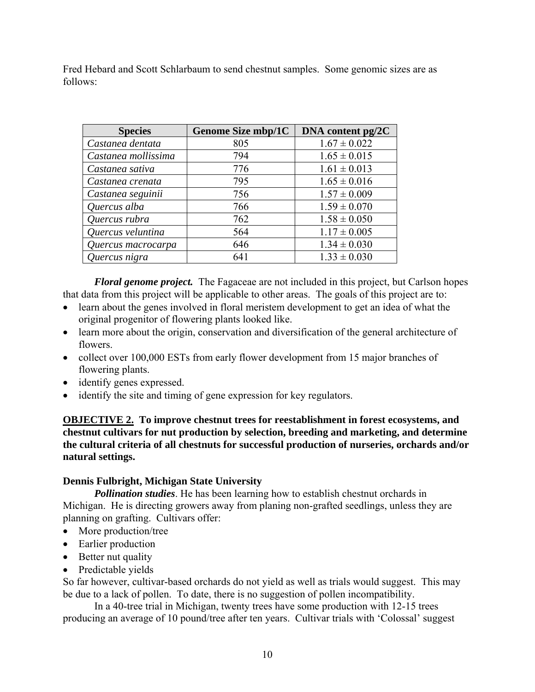Fred Hebard and Scott Schlarbaum to send chestnut samples. Some genomic sizes are as follows:

| <b>Species</b>      | <b>Genome Size mbp/1C</b> | DNA content $pg/2C$ |
|---------------------|---------------------------|---------------------|
| Castanea dentata    | 805                       | $1.67 \pm 0.022$    |
| Castanea mollissima | 794                       | $1.65 \pm 0.015$    |
| Castanea sativa     | 776                       | $1.61 \pm 0.013$    |
| Castanea crenata    | 795                       | $1.65 \pm 0.016$    |
| Castanea seguinii   | 756                       | $1.57 \pm 0.009$    |
| Quercus alba        | 766                       | $1.59 \pm 0.070$    |
| Quercus rubra       | 762                       | $1.58 \pm 0.050$    |
| Quercus veluntina   | 564                       | $1.17 \pm 0.005$    |
| Quercus macrocarpa  | 646                       | $1.34 \pm 0.030$    |
| Quercus nigra       | 641                       | $1.33 \pm 0.030$    |

*Floral genome project.* The Fagaceae are not included in this project, but Carlson hopes that data from this project will be applicable to other areas. The goals of this project are to:

- learn about the genes involved in floral meristem development to get an idea of what the original progenitor of flowering plants looked like.
- learn more about the origin, conservation and diversification of the general architecture of flowers.
- collect over 100,000 ESTs from early flower development from 15 major branches of flowering plants.
- identify genes expressed.
- identify the site and timing of gene expression for key regulators.

**OBJECTIVE 2. To improve chestnut trees for reestablishment in forest ecosystems, and chestnut cultivars for nut production by selection, breeding and marketing, and determine the cultural criteria of all chestnuts for successful production of nurseries, orchards and/or natural settings.** 

### **Dennis Fulbright, Michigan State University**

*Pollination studies*. He has been learning how to establish chestnut orchards in Michigan. He is directing growers away from planing non-grafted seedlings, unless they are planning on grafting. Cultivars offer:

- More production/tree
- Earlier production
- Better nut quality
- Predictable yields

So far however, cultivar-based orchards do not yield as well as trials would suggest. This may be due to a lack of pollen. To date, there is no suggestion of pollen incompatibility.

 In a 40-tree trial in Michigan, twenty trees have some production with 12-15 trees producing an average of 10 pound/tree after ten years. Cultivar trials with 'Colossal' suggest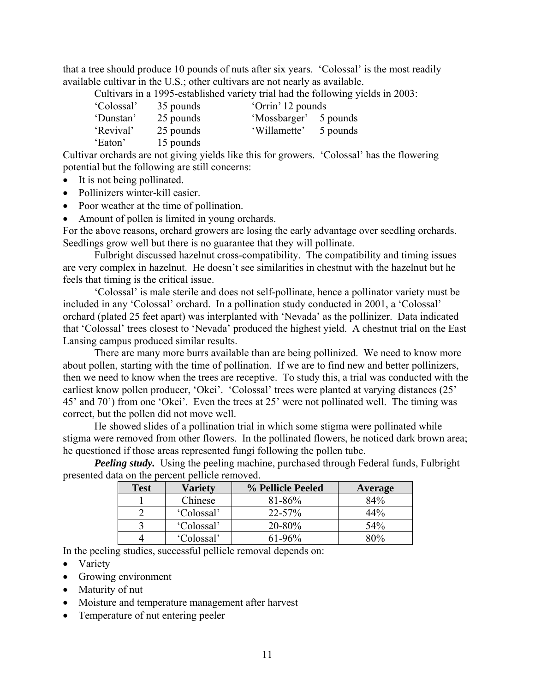that a tree should produce 10 pounds of nuts after six years. 'Colossal' is the most readily available cultivar in the U.S.; other cultivars are not nearly as available.

Cultivars in a 1995-established variety trial had the following yields in 2003:

| 'Colossal' | 35 pounds | 'Orrin' 12 pounds     |          |
|------------|-----------|-----------------------|----------|
| 'Dunstan'  | 25 pounds | 'Mossbarger' 5 pounds |          |
| 'Revival'  | 25 pounds | 'Willamette'          | 5 pounds |
| 'Eaton'    | 15 pounds |                       |          |

Cultivar orchards are not giving yields like this for growers. 'Colossal' has the flowering potential but the following are still concerns:

- It is not being pollinated.
- Pollinizers winter-kill easier.
- Poor weather at the time of pollination.
- Amount of pollen is limited in young orchards.

For the above reasons, orchard growers are losing the early advantage over seedling orchards. Seedlings grow well but there is no guarantee that they will pollinate.

 Fulbright discussed hazelnut cross-compatibility. The compatibility and timing issues are very complex in hazelnut. He doesn't see similarities in chestnut with the hazelnut but he feels that timing is the critical issue.

 'Colossal' is male sterile and does not self-pollinate, hence a pollinator variety must be included in any 'Colossal' orchard. In a pollination study conducted in 2001, a 'Colossal' orchard (plated 25 feet apart) was interplanted with 'Nevada' as the pollinizer. Data indicated that 'Colossal' trees closest to 'Nevada' produced the highest yield. A chestnut trial on the East Lansing campus produced similar results.

 There are many more burrs available than are being pollinized. We need to know more about pollen, starting with the time of pollination. If we are to find new and better pollinizers, then we need to know when the trees are receptive. To study this, a trial was conducted with the earliest know pollen producer, 'Okei'. 'Colossal' trees were planted at varying distances (25' 45' and 70') from one 'Okei'. Even the trees at 25' were not pollinated well. The timing was correct, but the pollen did not move well.

 He showed slides of a pollination trial in which some stigma were pollinated while stigma were removed from other flowers. In the pollinated flowers, he noticed dark brown area; he questioned if those areas represented fungi following the pollen tube.

*Peeling study.* Using the peeling machine, purchased through Federal funds, Fulbright presented data on the percent pellicle removed.

| <b>Test</b> | <b>Variety</b> | % Pellicle Peeled | Average           |
|-------------|----------------|-------------------|-------------------|
|             | Chinese        | $81 - 86\%$       | 84%               |
|             | 'Colossal'     | $22 - 57%$        | 44%               |
|             | 'Colossal'     | $20 - 80%$        | 54 <sup>o</sup> % |
|             | 'Colossal'     | 61-96%            | 80%               |

In the peeling studies, successful pellicle removal depends on:

- Variety
- Growing environment
- Maturity of nut
- Moisture and temperature management after harvest
- Temperature of nut entering peeler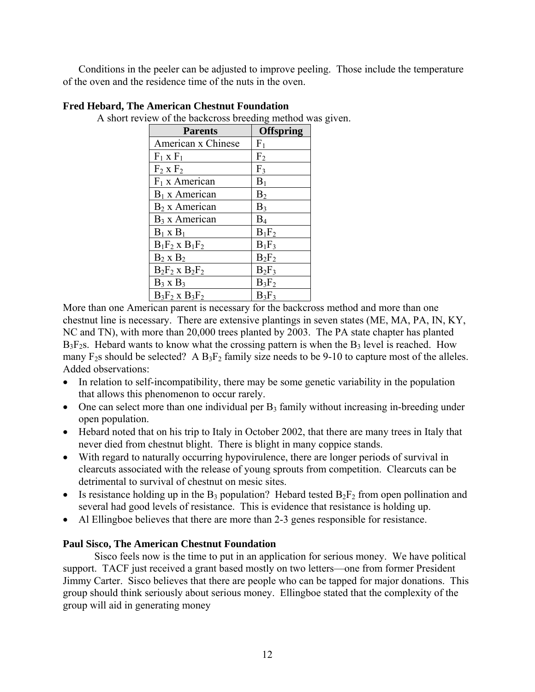Conditions in the peeler can be adjusted to improve peeling. Those include the temperature of the oven and the residence time of the nuts in the oven.

| <b>Parents</b>      | <b>Offspring</b> |
|---------------------|------------------|
| American x Chinese  | F <sub>1</sub>   |
| $F_1$ x $F_1$       | F <sub>2</sub>   |
| $F_2$ x $F_2$       | F <sub>3</sub>   |
| $F_1$ x American    | $B_1$            |
| $B_1 x$ American    | B <sub>2</sub>   |
| $B_2$ x American    | $B_3$            |
| $B_3$ x American    | $B_4$            |
| $B_1 \times B_1$    | $B_1F_2$         |
| $B_1F_2$ x $B_1F_2$ | $B_1F_3$         |
| $B_2$ x $B_2$       | $B_2F_2$         |
| $B_2F_2$ x $B_2F_2$ | $B_2F_3$         |
| $B_3$ x $B_3$       | $B_3F_2$         |
| $B_3F_2$ x $B_3F_2$ | $B_3F_3$         |

**Fred Hebard, The American Chestnut Foundation** 

A short review of the backcross breeding method was given.

More than one American parent is necessary for the backcross method and more than one chestnut line is necessary. There are extensive plantings in seven states (ME, MA, PA, IN, KY, NC and TN), with more than 20,000 trees planted by 2003. The PA state chapter has planted  $B_3F_2$ s. Hebard wants to know what the crossing pattern is when the  $B_3$  level is reached. How many  $F_2$ s should be selected? A  $B_3F_2$  family size needs to be 9-10 to capture most of the alleles. Added observations:

- In relation to self-incompatibility, there may be some genetic variability in the population that allows this phenomenon to occur rarely.
- One can select more than one individual per  $B_3$  family without increasing in-breeding under open population.
- Hebard noted that on his trip to Italy in October 2002, that there are many trees in Italy that never died from chestnut blight. There is blight in many coppice stands.
- With regard to naturally occurring hypovirulence, there are longer periods of survival in clearcuts associated with the release of young sprouts from competition. Clearcuts can be detrimental to survival of chestnut on mesic sites.
- Is resistance holding up in the B<sub>3</sub> population? Hebard tested  $B_2F_2$  from open pollination and several had good levels of resistance. This is evidence that resistance is holding up.
- Al Ellingboe believes that there are more than 2-3 genes responsible for resistance.

## **Paul Sisco, The American Chestnut Foundation**

 Sisco feels now is the time to put in an application for serious money. We have political support. TACF just received a grant based mostly on two letters—one from former President Jimmy Carter. Sisco believes that there are people who can be tapped for major donations. This group should think seriously about serious money. Ellingboe stated that the complexity of the group will aid in generating money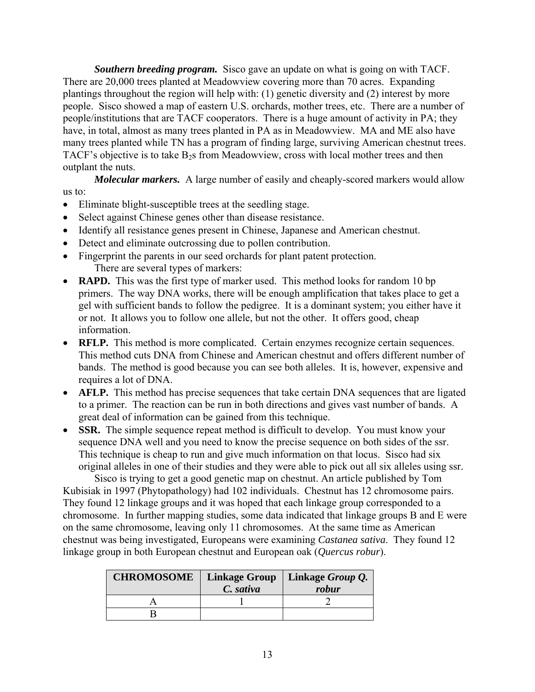*Southern breeding program.* Sisco gave an update on what is going on with TACF. There are 20,000 trees planted at Meadowview covering more than 70 acres. Expanding plantings throughout the region will help with: (1) genetic diversity and (2) interest by more people. Sisco showed a map of eastern U.S. orchards, mother trees, etc. There are a number of people/institutions that are TACF cooperators. There is a huge amount of activity in PA; they have, in total, almost as many trees planted in PA as in Meadowview. MA and ME also have many trees planted while TN has a program of finding large, surviving American chestnut trees. TACF's objective is to take  $B_2$ s from Meadowview, cross with local mother trees and then outplant the nuts.

*Molecular markers.* A large number of easily and cheaply-scored markers would allow us to:

- Eliminate blight-susceptible trees at the seedling stage.
- Select against Chinese genes other than disease resistance.
- Identify all resistance genes present in Chinese, Japanese and American chestnut.
- Detect and eliminate outcrossing due to pollen contribution.
- Fingerprint the parents in our seed orchards for plant patent protection. There are several types of markers:
- **RAPD.** This was the first type of marker used. This method looks for random 10 bp primers. The way DNA works, there will be enough amplification that takes place to get a gel with sufficient bands to follow the pedigree. It is a dominant system; you either have it or not. It allows you to follow one allele, but not the other. It offers good, cheap information.
- **RFLP.** This method is more complicated. Certain enzymes recognize certain sequences. This method cuts DNA from Chinese and American chestnut and offers different number of bands. The method is good because you can see both alleles. It is, however, expensive and requires a lot of DNA.
- **AFLP.** This method has precise sequences that take certain DNA sequences that are ligated to a primer. The reaction can be run in both directions and gives vast number of bands. A great deal of information can be gained from this technique.
- **SSR.** The simple sequence repeat method is difficult to develop. You must know your sequence DNA well and you need to know the precise sequence on both sides of the ssr. This technique is cheap to run and give much information on that locus. Sisco had six original alleles in one of their studies and they were able to pick out all six alleles using ssr.

 Sisco is trying to get a good genetic map on chestnut. An article published by Tom Kubisiak in 1997 (Phytopathology) had 102 individuals. Chestnut has 12 chromosome pairs. They found 12 linkage groups and it was hoped that each linkage group corresponded to a chromosome. In further mapping studies, some data indicated that linkage groups B and E were on the same chromosome, leaving only 11 chromosomes. At the same time as American chestnut was being investigated, Europeans were examining *Castanea sativa*. They found 12 linkage group in both European chestnut and European oak (*Quercus robur*).

| <b>CHROMOSOME</b> | <b>Linkage Group</b><br>C. sativa | Linkage Group Q.<br>robur |
|-------------------|-----------------------------------|---------------------------|
|                   |                                   |                           |
|                   |                                   |                           |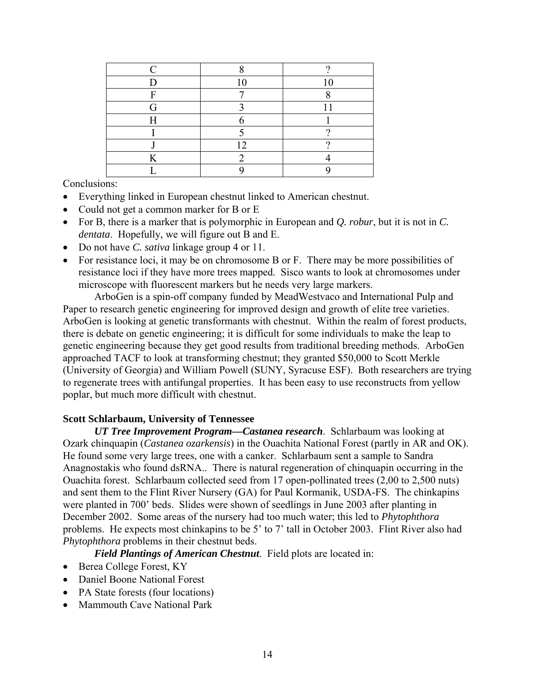| ┮ | $\sim$ | $\sim$ |
|---|--------|--------|
| Ē |        |        |
|   |        |        |
|   |        |        |
|   |        |        |
|   | 1 າ    |        |
|   |        |        |
|   |        |        |

Conclusions:

- Everything linked in European chestnut linked to American chestnut.
- Could not get a common marker for B or E
- For B, there is a marker that is polymorphic in European and *Q. robur*, but it is not in *C. dentata*. Hopefully, we will figure out B and E.
- Do not have *C. sativa* linkage group 4 or 11.
- For resistance loci, it may be on chromosome B or F. There may be more possibilities of resistance loci if they have more trees mapped. Sisco wants to look at chromosomes under microscope with fluorescent markers but he needs very large markers.

 ArboGen is a spin-off company funded by MeadWestvaco and International Pulp and Paper to research genetic engineering for improved design and growth of elite tree varieties. ArboGen is looking at genetic transformants with chestnut. Within the realm of forest products, there is debate on genetic engineering; it is difficult for some individuals to make the leap to genetic engineering because they get good results from traditional breeding methods. ArboGen approached TACF to look at transforming chestnut; they granted \$50,000 to Scott Merkle (University of Georgia) and William Powell (SUNY, Syracuse ESF). Both researchers are trying to regenerate trees with antifungal properties. It has been easy to use reconstructs from yellow poplar, but much more difficult with chestnut.

### **Scott Schlarbaum, University of Tennessee**

*UT Tree Improvement Program—Castanea research*. Schlarbaum was looking at Ozark chinquapin (*Castanea ozarkensis*) in the Ouachita National Forest (partly in AR and OK). He found some very large trees, one with a canker. Schlarbaum sent a sample to Sandra Anagnostakis who found dsRNA.. There is natural regeneration of chinquapin occurring in the Ouachita forest. Schlarbaum collected seed from 17 open-pollinated trees (2,00 to 2,500 nuts) and sent them to the Flint River Nursery (GA) for Paul Kormanik, USDA-FS. The chinkapins were planted in 700' beds. Slides were shown of seedlings in June 2003 after planting in December 2002. Some areas of the nursery had too much water; this led to *Phytophthora* problems. He expects most chinkapins to be 5' to 7' tall in October 2003. Flint River also had *Phytophthora* problems in their chestnut beds.

*Field Plantings of American Chestnut*. Field plots are located in:

- Berea College Forest, KY
- Daniel Boone National Forest
- PA State forests (four locations)
- Mammouth Cave National Park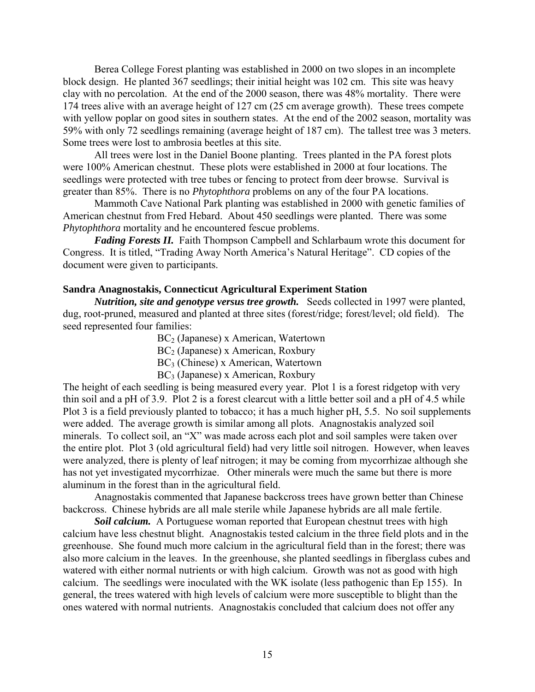Berea College Forest planting was established in 2000 on two slopes in an incomplete block design. He planted 367 seedlings; their initial height was 102 cm. This site was heavy clay with no percolation. At the end of the 2000 season, there was 48% mortality. There were 174 trees alive with an average height of 127 cm (25 cm average growth). These trees compete with yellow poplar on good sites in southern states. At the end of the 2002 season, mortality was 59% with only 72 seedlings remaining (average height of 187 cm). The tallest tree was 3 meters. Some trees were lost to ambrosia beetles at this site.

All trees were lost in the Daniel Boone planting. Trees planted in the PA forest plots were 100% American chestnut. These plots were established in 2000 at four locations. The seedlings were protected with tree tubes or fencing to protect from deer browse. Survival is greater than 85%. There is no *Phytophthora* problems on any of the four PA locations.

Mammoth Cave National Park planting was established in 2000 with genetic families of American chestnut from Fred Hebard. About 450 seedlings were planted. There was some *Phytophthora* mortality and he encountered fescue problems.

*Fading Forests II.* Faith Thompson Campbell and Schlarbaum wrote this document for Congress. It is titled, "Trading Away North America's Natural Heritage". CD copies of the document were given to participants.

#### **Sandra Anagnostakis, Connecticut Agricultural Experiment Station**

*Nutrition, site and genotype versus tree growth.* Seeds collected in 1997 were planted, dug, root-pruned, measured and planted at three sites (forest/ridge; forest/level; old field). The seed represented four families:

> BC<sub>2</sub> (Japanese) x American, Watertown BC<sub>2</sub> (Japanese) x American, Roxbury BC3 (Chinese) x American, Watertown BC3 (Japanese) x American, Roxbury

The height of each seedling is being measured every year. Plot 1 is a forest ridgetop with very thin soil and a pH of 3.9. Plot 2 is a forest clearcut with a little better soil and a pH of 4.5 while Plot 3 is a field previously planted to tobacco; it has a much higher pH, 5.5. No soil supplements were added. The average growth is similar among all plots. Anagnostakis analyzed soil minerals. To collect soil, an "X" was made across each plot and soil samples were taken over the entire plot. Plot 3 (old agricultural field) had very little soil nitrogen. However, when leaves were analyzed, there is plenty of leaf nitrogen; it may be coming from mycorrhizae although she has not yet investigated mycorrhizae. Other minerals were much the same but there is more aluminum in the forest than in the agricultural field.

 Anagnostakis commented that Japanese backcross trees have grown better than Chinese backcross. Chinese hybrids are all male sterile while Japanese hybrids are all male fertile.

*Soil calcium.* A Portuguese woman reported that European chestnut trees with high calcium have less chestnut blight. Anagnostakis tested calcium in the three field plots and in the greenhouse. She found much more calcium in the agricultural field than in the forest; there was also more calcium in the leaves. In the greenhouse, she planted seedlings in fiberglass cubes and watered with either normal nutrients or with high calcium. Growth was not as good with high calcium. The seedlings were inoculated with the WK isolate (less pathogenic than Ep 155). In general, the trees watered with high levels of calcium were more susceptible to blight than the ones watered with normal nutrients. Anagnostakis concluded that calcium does not offer any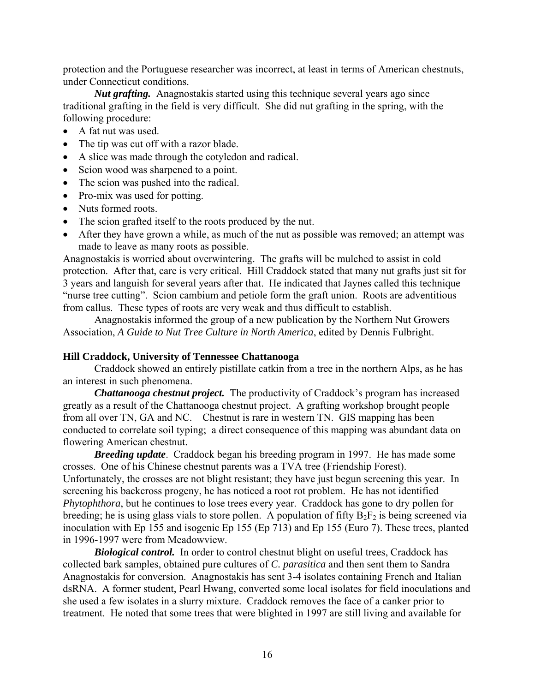protection and the Portuguese researcher was incorrect, at least in terms of American chestnuts, under Connecticut conditions.

*Nut grafting.* Anagnostakis started using this technique several years ago since traditional grafting in the field is very difficult. She did nut grafting in the spring, with the following procedure:

- A fat nut was used.
- The tip was cut off with a razor blade.
- A slice was made through the cotyledon and radical.
- Scion wood was sharpened to a point.
- The scion was pushed into the radical.
- Pro-mix was used for potting.
- Nuts formed roots.
- The scion grafted itself to the roots produced by the nut.
- After they have grown a while, as much of the nut as possible was removed; an attempt was made to leave as many roots as possible.

Anagnostakis is worried about overwintering. The grafts will be mulched to assist in cold protection. After that, care is very critical. Hill Craddock stated that many nut grafts just sit for 3 years and languish for several years after that. He indicated that Jaynes called this technique "nurse tree cutting". Scion cambium and petiole form the graft union. Roots are adventitious from callus. These types of roots are very weak and thus difficult to establish.

 Anagnostakis informed the group of a new publication by the Northern Nut Growers Association, *A Guide to Nut Tree Culture in North America*, edited by Dennis Fulbright.

### **Hill Craddock, University of Tennessee Chattanooga**

 Craddock showed an entirely pistillate catkin from a tree in the northern Alps, as he has an interest in such phenomena.

*Chattanooga chestnut project.* The productivity of Craddock's program has increased greatly as a result of the Chattanooga chestnut project. A grafting workshop brought people from all over TN, GA and NC. Chestnut is rare in western TN. GIS mapping has been conducted to correlate soil typing; a direct consequence of this mapping was abundant data on flowering American chestnut.

*Breeding update*. Craddock began his breeding program in 1997. He has made some crosses. One of his Chinese chestnut parents was a TVA tree (Friendship Forest). Unfortunately, the crosses are not blight resistant; they have just begun screening this year. In screening his backcross progeny, he has noticed a root rot problem. He has not identified *Phytophthora*, but he continues to lose trees every year. Craddock has gone to dry pollen for breeding; he is using glass vials to store pollen. A population of fifty  $B_2F_2$  is being screened via inoculation with Ep 155 and isogenic Ep 155 (Ep 713) and Ep 155 (Euro 7). These trees, planted in 1996-1997 were from Meadowview.

**Biological control.** In order to control chestnut blight on useful trees, Craddock has collected bark samples, obtained pure cultures of *C. parasitica* and then sent them to Sandra Anagnostakis for conversion. Anagnostakis has sent 3-4 isolates containing French and Italian dsRNA. A former student, Pearl Hwang, converted some local isolates for field inoculations and she used a few isolates in a slurry mixture. Craddock removes the face of a canker prior to treatment. He noted that some trees that were blighted in 1997 are still living and available for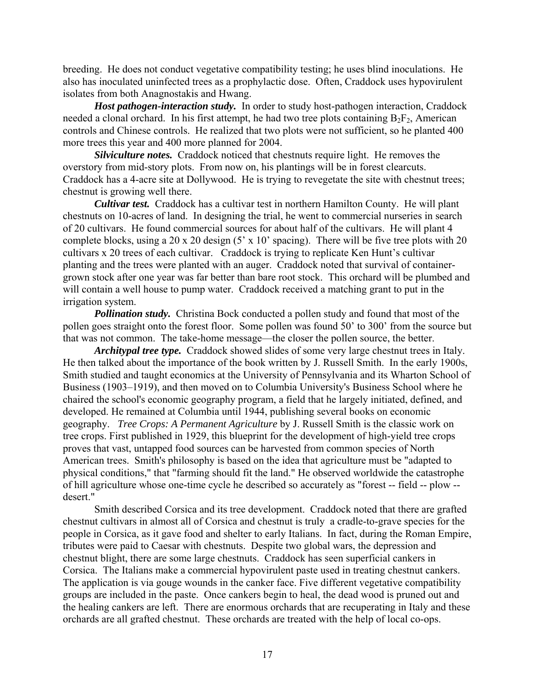breeding. He does not conduct vegetative compatibility testing; he uses blind inoculations. He also has inoculated uninfected trees as a prophylactic dose. Often, Craddock uses hypovirulent isolates from both Anagnostakis and Hwang.

*Host pathogen-interaction study.* In order to study host-pathogen interaction, Craddock needed a clonal orchard. In his first attempt, he had two tree plots containing  $B_2F_2$ , American controls and Chinese controls. He realized that two plots were not sufficient, so he planted 400 more trees this year and 400 more planned for 2004.

*Silviculture notes.* Craddock noticed that chestnuts require light. He removes the overstory from mid-story plots. From now on, his plantings will be in forest clearcuts. Craddock has a 4-acre site at Dollywood. He is trying to revegetate the site with chestnut trees; chestnut is growing well there.

*Cultivar test.* Craddock has a cultivar test in northern Hamilton County. He will plant chestnuts on 10-acres of land. In designing the trial, he went to commercial nurseries in search of 20 cultivars. He found commercial sources for about half of the cultivars. He will plant 4 complete blocks, using a 20 x 20 design (5' x 10' spacing). There will be five tree plots with 20 cultivars x 20 trees of each cultivar. Craddock is trying to replicate Ken Hunt's cultivar planting and the trees were planted with an auger. Craddock noted that survival of containergrown stock after one year was far better than bare root stock. This orchard will be plumbed and will contain a well house to pump water. Craddock received a matching grant to put in the irrigation system.

*Pollination study.* Christina Bock conducted a pollen study and found that most of the pollen goes straight onto the forest floor. Some pollen was found 50' to 300' from the source but that was not common. The take-home message—the closer the pollen source, the better.

*Architypal tree type.* Craddock showed slides of some very large chestnut trees in Italy. He then talked about the importance of the book written by J. Russell Smith. In the early 1900s, Smith studied and taught economics at the University of Pennsylvania and its Wharton School of Business (1903–1919), and then moved on to Columbia University's Business School where he chaired the school's economic geography program, a field that he largely initiated, defined, and developed. He remained at Columbia until 1944, publishing several books on economic geography. *Tree Crops: A Permanent Agriculture* by J. Russell Smith is the classic work on tree crops. First published in 1929, this blueprint for the development of high-yield tree crops proves that vast, untapped food sources can be harvested from common species of North American trees. Smith's philosophy is based on the idea that agriculture must be "adapted to physical conditions," that "farming should fit the land." He observed worldwide the catastrophe of hill agriculture whose one-time cycle he described so accurately as "forest -- field -- plow - desert."

 Smith described Corsica and its tree development. Craddock noted that there are grafted chestnut cultivars in almost all of Corsica and chestnut is truly a cradle-to-grave species for the people in Corsica, as it gave food and shelter to early Italians. In fact, during the Roman Empire, tributes were paid to Caesar with chestnuts. Despite two global wars, the depression and chestnut blight, there are some large chestnuts. Craddock has seen superficial cankers in Corsica. The Italians make a commercial hypovirulent paste used in treating chestnut cankers. The application is via gouge wounds in the canker face. Five different vegetative compatibility groups are included in the paste. Once cankers begin to heal, the dead wood is pruned out and the healing cankers are left. There are enormous orchards that are recuperating in Italy and these orchards are all grafted chestnut. These orchards are treated with the help of local co-ops.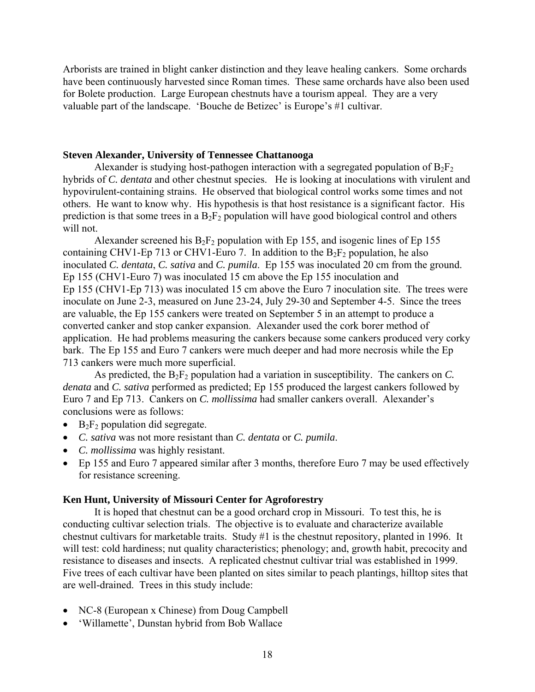Arborists are trained in blight canker distinction and they leave healing cankers. Some orchards have been continuously harvested since Roman times. These same orchards have also been used for Bolete production. Large European chestnuts have a tourism appeal. They are a very valuable part of the landscape. 'Bouche de Betizec' is Europe's #1 cultivar.

### **Steven Alexander, University of Tennessee Chattanooga**

Alexander is studying host-pathogen interaction with a segregated population of  $B_2F_2$ hybrids of *C. dentata* and other chestnut species. He is looking at inoculations with virulent and hypovirulent-containing strains. He observed that biological control works some times and not others. He want to know why. His hypothesis is that host resistance is a significant factor. His prediction is that some trees in a  $B_2F_2$  population will have good biological control and others will not.

Alexander screened his  $B_2F_2$  population with Ep 155, and isogenic lines of Ep 155 containing CHV1-Ep 713 or CHV1-Euro 7. In addition to the  $B_2F_2$  population, he also inoculated *C. dentata*, *C. sativa* and *C. pumila*. Ep 155 was inoculated 20 cm from the ground. Ep 155 (CHV1-Euro 7) was inoculated 15 cm above the Ep 155 inoculation and Ep 155 (CHV1-Ep 713) was inoculated 15 cm above the Euro 7 inoculation site. The trees were inoculate on June 2-3, measured on June 23-24, July 29-30 and September 4-5. Since the trees are valuable, the Ep 155 cankers were treated on September 5 in an attempt to produce a converted canker and stop canker expansion. Alexander used the cork borer method of application. He had problems measuring the cankers because some cankers produced very corky bark. The Ep 155 and Euro 7 cankers were much deeper and had more necrosis while the Ep 713 cankers were much more superficial.

As predicted, the  $B_2F_2$  population had a variation in susceptibility. The cankers on *C*. *denata* and *C. sativa* performed as predicted; Ep 155 produced the largest cankers followed by Euro 7 and Ep 713. Cankers on *C. mollissima* had smaller cankers overall. Alexander's conclusions were as follows:

- $B_2F_2$  population did segregate.
- *C. sativa* was not more resistant than *C. dentata* or *C. pumila*.
- *C. mollissima* was highly resistant.
- Ep 155 and Euro 7 appeared similar after 3 months, therefore Euro 7 may be used effectively for resistance screening.

## **Ken Hunt, University of Missouri Center for Agroforestry**

 It is hoped that chestnut can be a good orchard crop in Missouri. To test this, he is conducting cultivar selection trials. The objective is to evaluate and characterize available chestnut cultivars for marketable traits. Study #1 is the chestnut repository, planted in 1996. It will test: cold hardiness; nut quality characteristics; phenology; and, growth habit, precocity and resistance to diseases and insects. A replicated chestnut cultivar trial was established in 1999. Five trees of each cultivar have been planted on sites similar to peach plantings, hilltop sites that are well-drained. Trees in this study include:

- NC-8 (European x Chinese) from Doug Campbell
- 'Willamette', Dunstan hybrid from Bob Wallace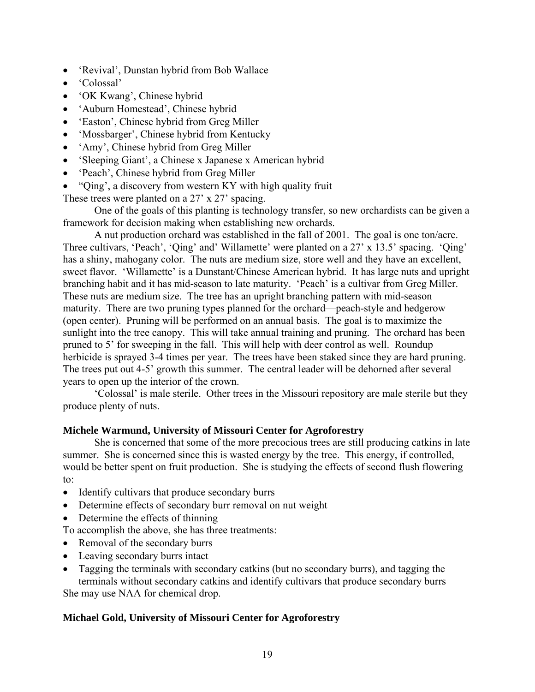- 'Revival', Dunstan hybrid from Bob Wallace
- 'Colossal'
- 'OK Kwang', Chinese hybrid
- 'Auburn Homestead', Chinese hybrid
- 'Easton', Chinese hybrid from Greg Miller
- 'Mossbarger', Chinese hybrid from Kentucky
- 'Amy', Chinese hybrid from Greg Miller
- 'Sleeping Giant', a Chinese x Japanese x American hybrid
- 'Peach', Chinese hybrid from Greg Miller
- "Qing', a discovery from western KY with high quality fruit

These trees were planted on a 27' x 27' spacing.

 One of the goals of this planting is technology transfer, so new orchardists can be given a framework for decision making when establishing new orchards.

 A nut production orchard was established in the fall of 2001. The goal is one ton/acre. Three cultivars, 'Peach', 'Qing' and' Willamette' were planted on a 27' x 13.5' spacing. 'Qing' has a shiny, mahogany color. The nuts are medium size, store well and they have an excellent, sweet flavor. 'Willamette' is a Dunstant/Chinese American hybrid. It has large nuts and upright branching habit and it has mid-season to late maturity. 'Peach' is a cultivar from Greg Miller. These nuts are medium size. The tree has an upright branching pattern with mid-season maturity. There are two pruning types planned for the orchard—peach-style and hedgerow (open center). Pruning will be performed on an annual basis. The goal is to maximize the sunlight into the tree canopy. This will take annual training and pruning. The orchard has been pruned to 5' for sweeping in the fall. This will help with deer control as well. Roundup herbicide is sprayed 3-4 times per year. The trees have been staked since they are hard pruning. The trees put out 4-5' growth this summer. The central leader will be dehorned after several years to open up the interior of the crown.

 'Colossal' is male sterile. Other trees in the Missouri repository are male sterile but they produce plenty of nuts.

### **Michele Warmund, University of Missouri Center for Agroforestry**

 She is concerned that some of the more precocious trees are still producing catkins in late summer. She is concerned since this is wasted energy by the tree. This energy, if controlled, would be better spent on fruit production. She is studying the effects of second flush flowering to:

- Identify cultivars that produce secondary burrs
- Determine effects of secondary burr removal on nut weight
- Determine the effects of thinning

To accomplish the above, she has three treatments:

- Removal of the secondary burrs
- Leaving secondary burrs intact
- Tagging the terminals with secondary catkins (but no secondary burrs), and tagging the terminals without secondary catkins and identify cultivars that produce secondary burrs

She may use NAA for chemical drop.

### **Michael Gold, University of Missouri Center for Agroforestry**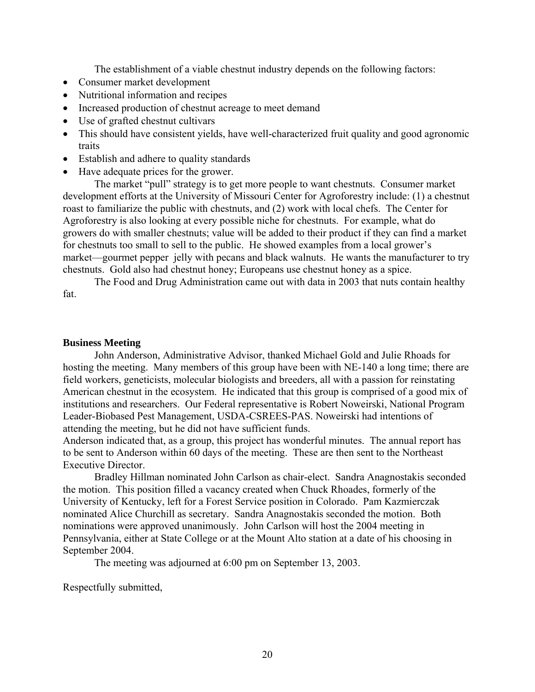The establishment of a viable chestnut industry depends on the following factors:

- Consumer market development
- Nutritional information and recipes
- Increased production of chestnut acreage to meet demand
- Use of grafted chestnut cultivars
- This should have consistent yields, have well-characterized fruit quality and good agronomic traits
- Establish and adhere to quality standards
- Have adequate prices for the grower.

 The market "pull" strategy is to get more people to want chestnuts. Consumer market development efforts at the University of Missouri Center for Agroforestry include: (1) a chestnut roast to familiarize the public with chestnuts, and (2) work with local chefs. The Center for Agroforestry is also looking at every possible niche for chestnuts. For example, what do growers do with smaller chestnuts; value will be added to their product if they can find a market for chestnuts too small to sell to the public. He showed examples from a local grower's market—gourmet pepper jelly with pecans and black walnuts. He wants the manufacturer to try chestnuts. Gold also had chestnut honey; Europeans use chestnut honey as a spice.

 The Food and Drug Administration came out with data in 2003 that nuts contain healthy fat.

### **Business Meeting**

 John Anderson, Administrative Advisor, thanked Michael Gold and Julie Rhoads for hosting the meeting. Many members of this group have been with NE-140 a long time; there are field workers, geneticists, molecular biologists and breeders, all with a passion for reinstating American chestnut in the ecosystem. He indicated that this group is comprised of a good mix of institutions and researchers. Our Federal representative is Robert Noweirski, National Program Leader-Biobased Pest Management, USDA-CSREES-PAS. Noweirski had intentions of attending the meeting, but he did not have sufficient funds.

Anderson indicated that, as a group, this project has wonderful minutes. The annual report has to be sent to Anderson within 60 days of the meeting. These are then sent to the Northeast Executive Director.

 Bradley Hillman nominated John Carlson as chair-elect. Sandra Anagnostakis seconded the motion. This position filled a vacancy created when Chuck Rhoades, formerly of the University of Kentucky, left for a Forest Service position in Colorado. Pam Kazmierczak nominated Alice Churchill as secretary. Sandra Anagnostakis seconded the motion. Both nominations were approved unanimously. John Carlson will host the 2004 meeting in Pennsylvania, either at State College or at the Mount Alto station at a date of his choosing in September 2004.

The meeting was adjourned at 6:00 pm on September 13, 2003.

Respectfully submitted,